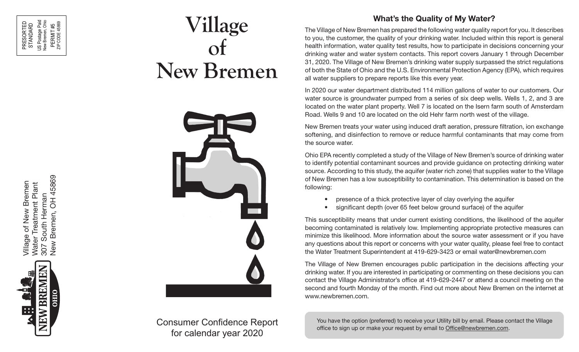# **Village of New Bremen**



Consumer Confidence Report for calendar year 2020

## **What's the Quality of My Water?**

The Village of New Bremen has prepared the following water quality report for you. It describes to you, the customer, the quality of your drinking water. Included within this report is general health information, water quality test results, how to participate in decisions concerning your drinking water and water system contacts. This report covers January 1 through December 31, 2020. The Village of New Bremen's drinking water supply surpassed the strict regulations of both the State of Ohio and the U.S. Environmental Protection Agency (EPA), which requires all water suppliers to prepare reports like this every year.

In 2020 our water department distributed 114 million gallons of water to our customers. Our water source is groundwater pumped from a series of six deep wells. Wells 1, 2, and 3 are located on the water plant property. Well 7 is located on the Isern farm south of Amsterdam Road. Wells 9 and 10 are located on the old Hehr farm north west of the village.

New Bremen treats your water using induced draft aeration, pressure filtration, ion exchange softening, and disinfection to remove or reduce harmful contaminants that may come from the source water.

Ohio EPA recently completed a study of the Village of New Bremen's source of drinking water to identify potential contaminant sources and provide guidance on protecting drinking water source. According to this study, the aquifer (water rich zone) that supplies water to the Village of New Bremen has a low susceptibility to contamination. This determination is based on the following:

- presence of a thick protective layer of clay overlying the aquifer
- significant depth (over 65 feet below ground surface) of the aquifer

This susceptibility means that under current existing conditions, the likelihood of the aquifer becoming contaminated is relatively low. Implementing appropriate protective measures can minimize this likelihood. More information about the source water assessment or if you have any questions about this report or concerns with your water quality, please feel free to contact the Water Treatment Superintendent at 419-629-3423 or email water@newbremen.com

The Village of New Bremen encourages public participation in the decisions affecting your drinking water. If you are interested in participating or commenting on these decisions you can contact the Village Administrator's office at 419-629-2447 or attend a council meeting on the second and fourth Monday of the month. Find out more about New Bremen on the internet at www.newbremen.com.

You have the option (preferred) to receive your Utility bill by email. Please contact the Village office to sign up or make your request by email to <u>Office@newbremen.com</u>.

*RILANG Of Naw Braman* 307 South Herman<br>New Bremen, OH 45869 New Bremen, OH 45869 Village of New Bremen<br>Water Treatment Plant Village of New Bremen Water Treatment Plant 307 South Herman